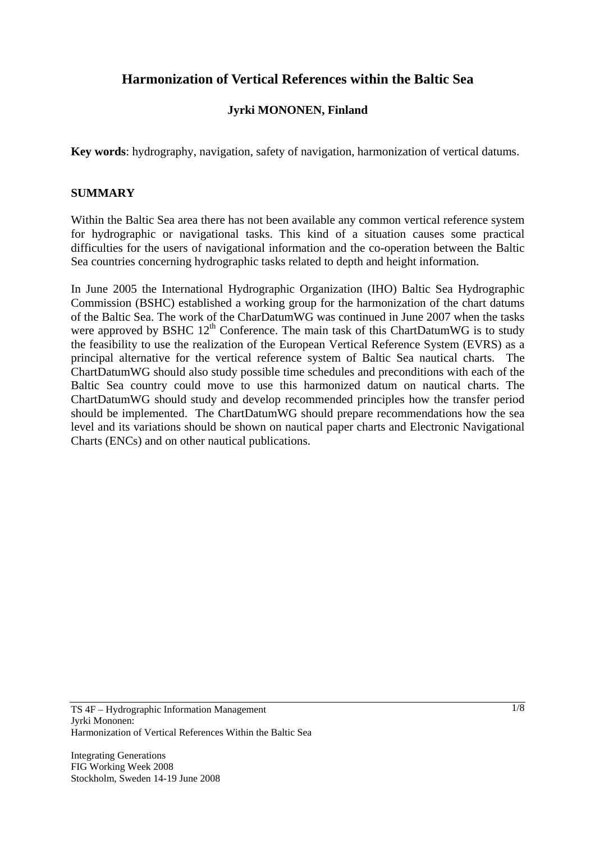# **Harmonization of Vertical References within the Baltic Sea**

# **Jyrki MONONEN, Finland**

**Key words**: hydrography, navigation, safety of navigation, harmonization of vertical datums.

### **SUMMARY**

Within the Baltic Sea area there has not been available any common vertical reference system for hydrographic or navigational tasks. This kind of a situation causes some practical difficulties for the users of navigational information and the co-operation between the Baltic Sea countries concerning hydrographic tasks related to depth and height information.

In June 2005 the International Hydrographic Organization (IHO) Baltic Sea Hydrographic Commission (BSHC) established a working group for the harmonization of the chart datums of the Baltic Sea. The work of the CharDatumWG was continued in June 2007 when the tasks were approved by BSHC  $12<sup>th</sup>$  Conference. The main task of this ChartDatumWG is to study the feasibility to use the realization of the European Vertical Reference System (EVRS) as a principal alternative for the vertical reference system of Baltic Sea nautical charts. The ChartDatumWG should also study possible time schedules and preconditions with each of the Baltic Sea country could move to use this harmonized datum on nautical charts. The ChartDatumWG should study and develop recommended principles how the transfer period should be implemented. The ChartDatumWG should prepare recommendations how the sea level and its variations should be shown on nautical paper charts and Electronic Navigational Charts (ENCs) and on other nautical publications.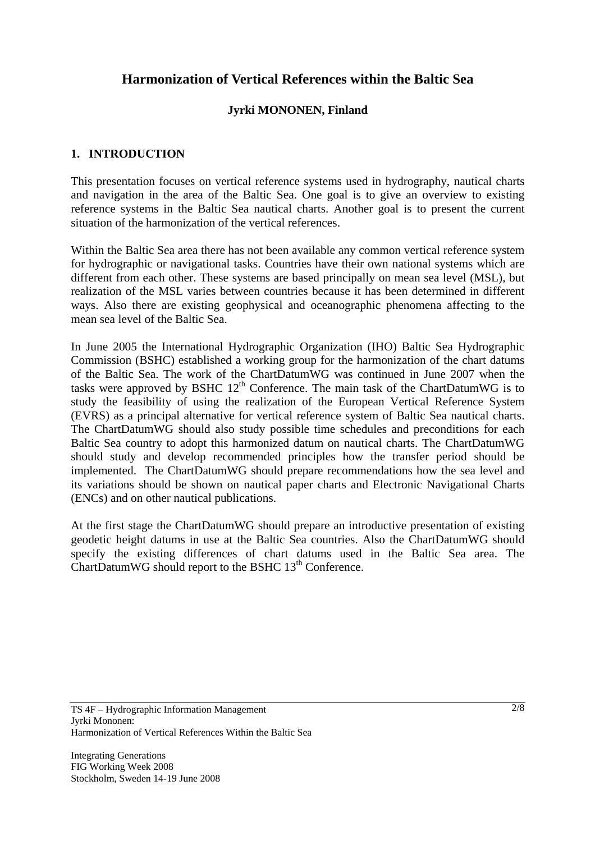# **Harmonization of Vertical References within the Baltic Sea**

## **Jyrki MONONEN, Finland**

### **1. INTRODUCTION**

This presentation focuses on vertical reference systems used in hydrography, nautical charts and navigation in the area of the Baltic Sea. One goal is to give an overview to existing reference systems in the Baltic Sea nautical charts. Another goal is to present the current situation of the harmonization of the vertical references.

Within the Baltic Sea area there has not been available any common vertical reference system for hydrographic or navigational tasks. Countries have their own national systems which are different from each other. These systems are based principally on mean sea level (MSL), but realization of the MSL varies between countries because it has been determined in different ways. Also there are existing geophysical and oceanographic phenomena affecting to the mean sea level of the Baltic Sea.

In June 2005 the International Hydrographic Organization (IHO) Baltic Sea Hydrographic Commission (BSHC) established a working group for the harmonization of the chart datums of the Baltic Sea. The work of the ChartDatumWG was continued in June 2007 when the tasks were approved by BSHC  $12<sup>th</sup>$  Conference. The main task of the ChartDatumWG is to study the feasibility of using the realization of the European Vertical Reference System (EVRS) as a principal alternative for vertical reference system of Baltic Sea nautical charts. The ChartDatumWG should also study possible time schedules and preconditions for each Baltic Sea country to adopt this harmonized datum on nautical charts. The ChartDatumWG should study and develop recommended principles how the transfer period should be implemented. The ChartDatumWG should prepare recommendations how the sea level and its variations should be shown on nautical paper charts and Electronic Navigational Charts (ENCs) and on other nautical publications.

At the first stage the ChartDatumWG should prepare an introductive presentation of existing geodetic height datums in use at the Baltic Sea countries. Also the ChartDatumWG should specify the existing differences of chart datums used in the Baltic Sea area. The ChartDatumWG should report to the BSHC 13<sup>th</sup> Conference.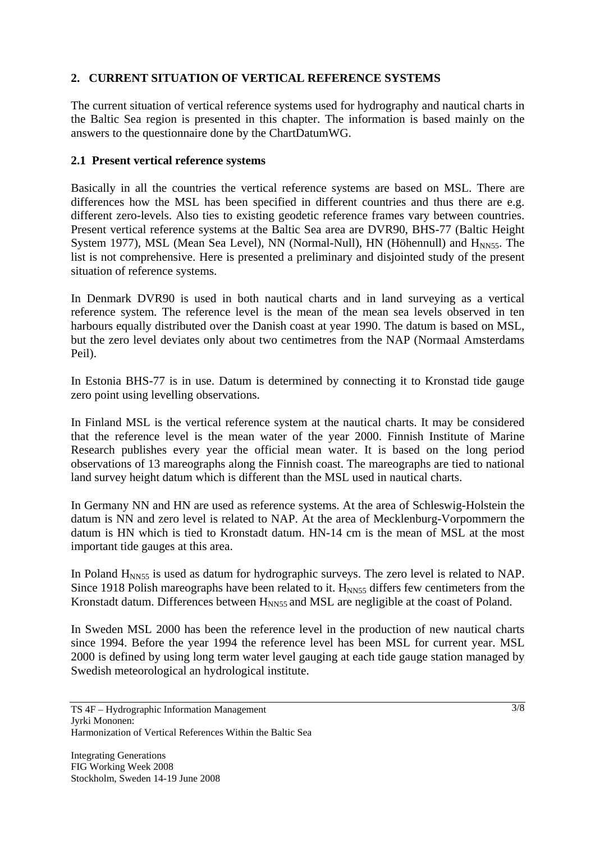## **2. CURRENT SITUATION OF VERTICAL REFERENCE SYSTEMS**

The current situation of vertical reference systems used for hydrography and nautical charts in the Baltic Sea region is presented in this chapter. The information is based mainly on the answers to the questionnaire done by the ChartDatumWG.

#### **2.1 Present vertical reference systems**

Basically in all the countries the vertical reference systems are based on MSL. There are differences how the MSL has been specified in different countries and thus there are e.g. different zero-levels. Also ties to existing geodetic reference frames vary between countries. Present vertical reference systems at the Baltic Sea area are DVR90, BHS-77 (Baltic Height System 1977), MSL (Mean Sea Level), NN (Normal-Null), HN (Höhennull) and  $H<sub>NNS5</sub>$ . The list is not comprehensive. Here is presented a preliminary and disjointed study of the present situation of reference systems.

In Denmark DVR90 is used in both nautical charts and in land surveying as a vertical reference system. The reference level is the mean of the mean sea levels observed in ten harbours equally distributed over the Danish coast at year 1990. The datum is based on MSL, but the zero level deviates only about two centimetres from the NAP (Normaal Amsterdams Peil).

In Estonia BHS-77 is in use. Datum is determined by connecting it to Kronstad tide gauge zero point using levelling observations.

In Finland MSL is the vertical reference system at the nautical charts. It may be considered that the reference level is the mean water of the year 2000. Finnish Institute of Marine Research publishes every year the official mean water. It is based on the long period observations of 13 mareographs along the Finnish coast. The mareographs are tied to national land survey height datum which is different than the MSL used in nautical charts.

In Germany NN and HN are used as reference systems. At the area of Schleswig-Holstein the datum is NN and zero level is related to NAP. At the area of Mecklenburg-Vorpommern the datum is HN which is tied to Kronstadt datum. HN-14 cm is the mean of MSL at the most important tide gauges at this area.

In Poland  $H<sub>NNS5</sub>$  is used as datum for hydrographic surveys. The zero level is related to NAP. Since 1918 Polish mareographs have been related to it.  $H<sub>NNS5</sub>$  differs few centimeters from the Kronstadt datum. Differences between  $H<sub>NNS5</sub>$  and MSL are negligible at the coast of Poland.

In Sweden MSL 2000 has been the reference level in the production of new nautical charts since 1994. Before the year 1994 the reference level has been MSL for current year. MSL 2000 is defined by using long term water level gauging at each tide gauge station managed by Swedish meteorological an hydrological institute.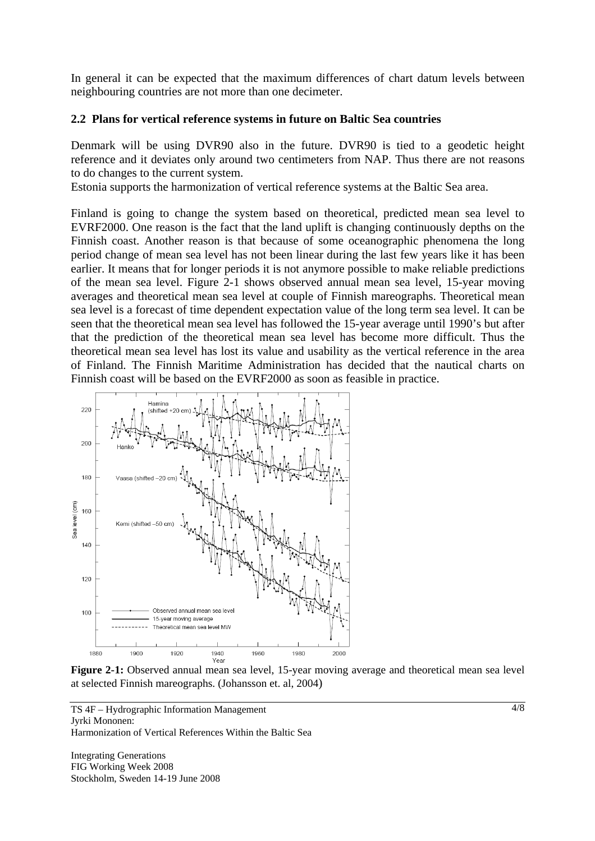In general it can be expected that the maximum differences of chart datum levels between neighbouring countries are not more than one decimeter.

#### **2.2 Plans for vertical reference systems in future on Baltic Sea countries**

Denmark will be using DVR90 also in the future. DVR90 is tied to a geodetic height reference and it deviates only around two centimeters from NAP. Thus there are not reasons to do changes to the current system.

Estonia supports the harmonization of vertical reference systems at the Baltic Sea area.

Finland is going to change the system based on theoretical, predicted mean sea level to EVRF2000. One reason is the fact that the land uplift is changing continuously depths on the Finnish coast. Another reason is that because of some oceanographic phenomena the long period change of mean sea level has not been linear during the last few years like it has been earlier. It means that for longer periods it is not anymore possible to make reliable predictions of the mean sea level. Figure 2-1 shows observed annual mean sea level, 15-year moving averages and theoretical mean sea level at couple of Finnish mareographs. Theoretical mean sea level is a forecast of time dependent expectation value of the long term sea level. It can be seen that the theoretical mean sea level has followed the 15-year average until 1990's but after that the prediction of the theoretical mean sea level has become more difficult. Thus the theoretical mean sea level has lost its value and usability as the vertical reference in the area of Finland. The Finnish Maritime Administration has decided that the nautical charts on Finnish coast will be based on the EVRF2000 as soon as feasible in practice.



Figure 2-1: Observed annual mean sea level, 15-year moving average and theoretical mean sea level at selected Finnish mareographs. (Johansson et. al, 2004)

TS 4F – Hydrographic Information Management Jyrki Mononen: Harmonization of Vertical References Within the Baltic Sea

Integrating Generations FIG Working Week 2008 Stockholm, Sweden 14-19 June 2008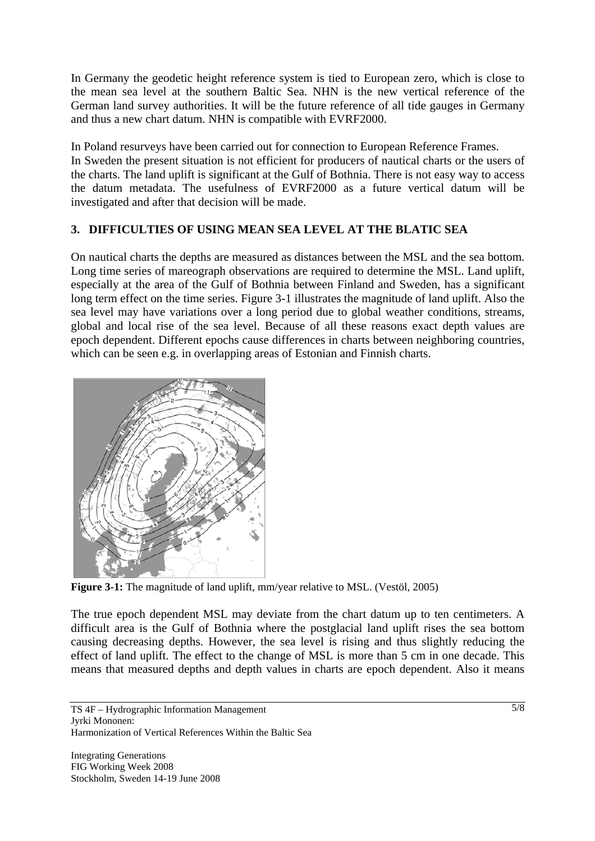In Germany the geodetic height reference system is tied to European zero, which is close to the mean sea level at the southern Baltic Sea. NHN is the new vertical reference of the German land survey authorities. It will be the future reference of all tide gauges in Germany and thus a new chart datum. NHN is compatible with EVRF2000.

In Poland resurveys have been carried out for connection to European Reference Frames. In Sweden the present situation is not efficient for producers of nautical charts or the users of the charts. The land uplift is significant at the Gulf of Bothnia. There is not easy way to access the datum metadata. The usefulness of EVRF2000 as a future vertical datum will be investigated and after that decision will be made.

# **3. DIFFICULTIES OF USING MEAN SEA LEVEL AT THE BLATIC SEA**

On nautical charts the depths are measured as distances between the MSL and the sea bottom. Long time series of mareograph observations are required to determine the MSL. Land uplift, especially at the area of the Gulf of Bothnia between Finland and Sweden, has a significant long term effect on the time series. Figure 3-1 illustrates the magnitude of land uplift. Also the sea level may have variations over a long period due to global weather conditions, streams, global and local rise of the sea level. Because of all these reasons exact depth values are epoch dependent. Different epochs cause differences in charts between neighboring countries, which can be seen e.g. in overlapping areas of Estonian and Finnish charts.



**Figure 3-1:** The magnitude of land uplift, mm/year relative to MSL. (Vestöl, 2005)

The true epoch dependent MSL may deviate from the chart datum up to ten centimeters. A difficult area is the Gulf of Bothnia where the postglacial land uplift rises the sea bottom causing decreasing depths. However, the sea level is rising and thus slightly reducing the effect of land uplift. The effect to the change of MSL is more than 5 cm in one decade. This means that measured depths and depth values in charts are epoch dependent. Also it means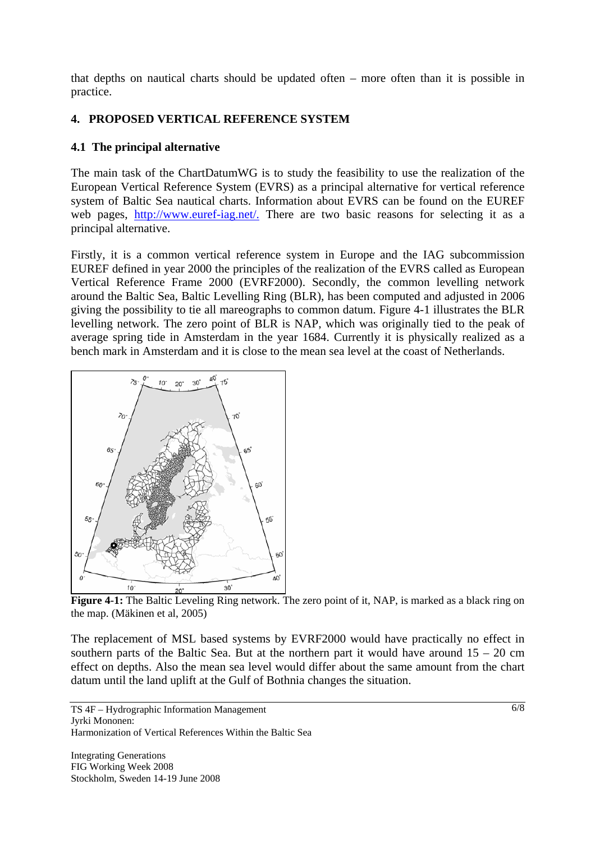that depths on nautical charts should be updated often – more often than it is possible in practice.

# **4. PROPOSED VERTICAL REFERENCE SYSTEM**

### **4.1 The principal alternative**

The main task of the ChartDatumWG is to study the feasibility to use the realization of the European Vertical Reference System (EVRS) as a principal alternative for vertical reference system of Baltic Sea nautical charts. Information about EVRS can be found on the EUREF web pages, http://www.euref-iag.net/. There are two basic reasons for selecting it as a principal alternative.

Firstly, it is a common vertical reference system in Europe and the IAG subcommission EUREF defined in year 2000 the principles of the realization of the EVRS called as European Vertical Reference Frame 2000 (EVRF2000). Secondly, the common levelling network around the Baltic Sea, Baltic Levelling Ring (BLR), has been computed and adjusted in 2006 giving the possibility to tie all mareographs to common datum. Figure 4-1 illustrates the BLR levelling network. The zero point of BLR is NAP, which was originally tied to the peak of average spring tide in Amsterdam in the year 1684. Currently it is physically realized as a bench mark in Amsterdam and it is close to the mean sea level at the coast of Netherlands.



**Figure 4-1:** The Baltic Leveling Ring network. The zero point of it, NAP, is marked as a black ring on the map. (Mäkinen et al, 2005)

The replacement of MSL based systems by EVRF2000 would have practically no effect in southern parts of the Baltic Sea. But at the northern part it would have around  $15 - 20$  cm effect on depths. Also the mean sea level would differ about the same amount from the chart datum until the land uplift at the Gulf of Bothnia changes the situation.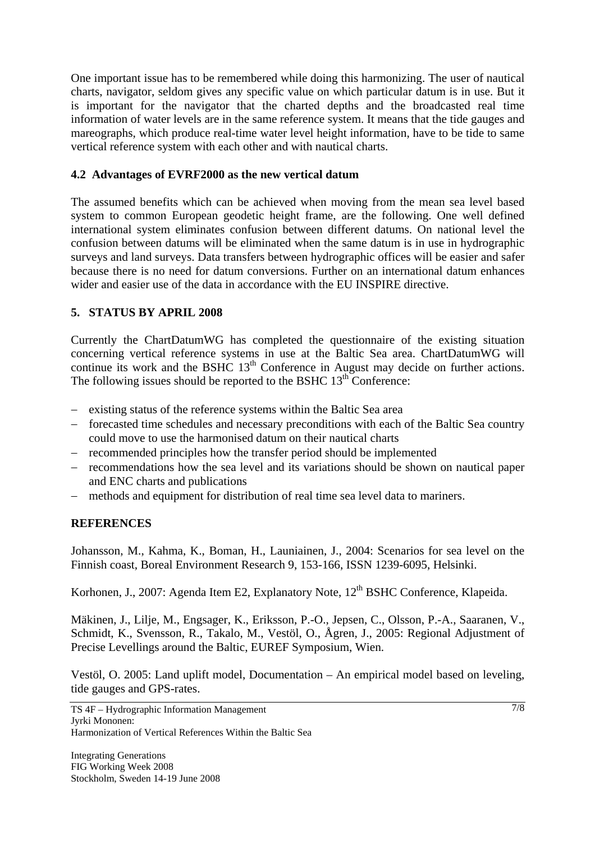One important issue has to be remembered while doing this harmonizing. The user of nautical charts, navigator, seldom gives any specific value on which particular datum is in use. But it is important for the navigator that the charted depths and the broadcasted real time information of water levels are in the same reference system. It means that the tide gauges and mareographs, which produce real-time water level height information, have to be tide to same vertical reference system with each other and with nautical charts.

### **4.2 Advantages of EVRF2000 as the new vertical datum**

The assumed benefits which can be achieved when moving from the mean sea level based system to common European geodetic height frame, are the following. One well defined international system eliminates confusion between different datums. On national level the confusion between datums will be eliminated when the same datum is in use in hydrographic surveys and land surveys. Data transfers between hydrographic offices will be easier and safer because there is no need for datum conversions. Further on an international datum enhances wider and easier use of the data in accordance with the EU INSPIRE directive.

# **5. STATUS BY APRIL 2008**

Currently the ChartDatumWG has completed the questionnaire of the existing situation concerning vertical reference systems in use at the Baltic Sea area. ChartDatumWG will continue its work and the BSHC 13<sup>th</sup> Conference in August may decide on further actions. The following issues should be reported to the BSHC  $13<sup>th</sup>$  Conference:

- − existing status of the reference systems within the Baltic Sea area
- − forecasted time schedules and necessary preconditions with each of the Baltic Sea country could move to use the harmonised datum on their nautical charts
- − recommended principles how the transfer period should be implemented
- − recommendations how the sea level and its variations should be shown on nautical paper and ENC charts and publications
- − methods and equipment for distribution of real time sea level data to mariners.

### **REFERENCES**

Johansson, M., Kahma, K., Boman, H., Launiainen, J., 2004: Scenarios for sea level on the Finnish coast, Boreal Environment Research 9, 153-166, ISSN 1239-6095, Helsinki.

Korhonen, J., 2007: Agenda Item E2, Explanatory Note, 12<sup>th</sup> BSHC Conference, Klapeida.

Mäkinen, J., Lilje, M., Engsager, K., Eriksson, P.-O., Jepsen, C., Olsson, P.-A., Saaranen, V., Schmidt, K., Svensson, R., Takalo, M., Vestöl, O., Ågren, J., 2005: Regional Adjustment of Precise Levellings around the Baltic, EUREF Symposium, Wien.

Vestöl, O. 2005: Land uplift model, Documentation – An empirical model based on leveling, tide gauges and GPS-rates.